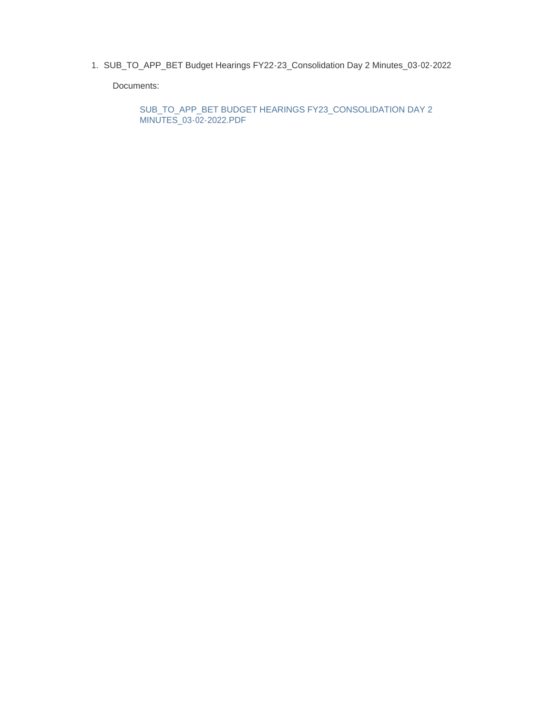1. SUB\_TO\_APP\_BET Budget Hearings FY22-23\_Consolidation Day 2 Minutes\_03-02-2022

Documents:

SUB\_TO\_APP\_BET BUDGET HEARINGS FY23\_CONSOLIDATION DAY 2 MINUTES\_03-02-2022.PDF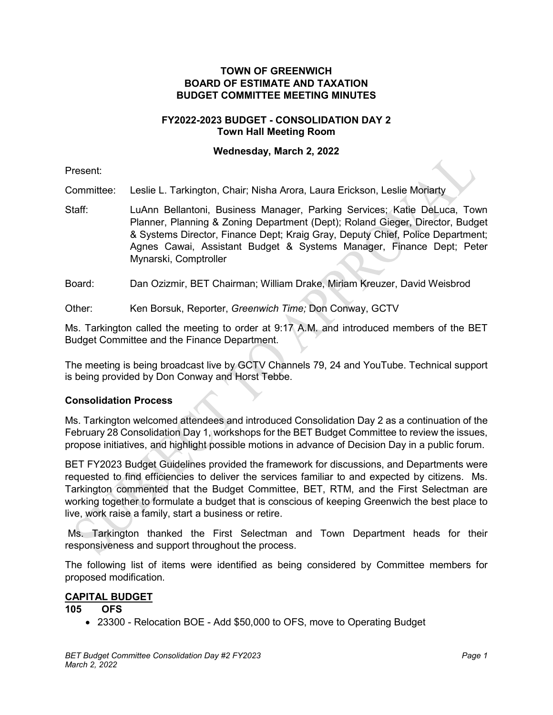### **TOWN OF GREENWICH BOARD OF ESTIMATE AND TAXATION BUDGET COMMITTEE MEETING MINUTES**

### **FY2022-2023 BUDGET - CONSOLIDATION DAY 2 Town Hall Meeting Room**

#### **Wednesday, March 2, 2022**

Present:

Committee: Leslie L. Tarkington, Chair; Nisha Arora, Laura Erickson, Leslie Moriarty

Staff: LuAnn Bellantoni, Business Manager, Parking Services; Katie DeLuca, Town Planner, Planning & Zoning Department (Dept); Roland Gieger, Director, Budget & Systems Director, Finance Dept; Kraig Gray, Deputy Chief, Police Department; Agnes Cawai, Assistant Budget & Systems Manager, Finance Dept; Peter Mynarski, Comptroller

Board: Dan Ozizmir, BET Chairman; William Drake, Miriam Kreuzer, David Weisbrod

Other: Ken Borsuk, Reporter, *Greenwich Time;* Don Conway, GCTV

Ms. Tarkington called the meeting to order at 9:17 A.M. and introduced members of the BET Budget Committee and the Finance Department.

The meeting is being broadcast live by GCTV Channels 79, 24 and YouTube. Technical support is being provided by Don Conway and Horst Tebbe.

# **Consolidation Process**

Ms. Tarkington welcomed attendees and introduced Consolidation Day 2 as a continuation of the February 28 Consolidation Day 1, workshops for the BET Budget Committee to review the issues, propose initiatives, and highlight possible motions in advance of Decision Day in a public forum.

BET FY2023 Budget Guidelines provided the framework for discussions, and Departments were requested to find efficiencies to deliver the services familiar to and expected by citizens. Ms. Tarkington commented that the Budget Committee, BET, RTM, and the First Selectman are working together to formulate a budget that is conscious of keeping Greenwich the best place to live, work raise a family, start a business or retire.

Ms. Tarkington thanked the First Selectman and Town Department heads for their responsiveness and support throughout the process.

The following list of items were identified as being considered by Committee members for proposed modification.

#### **CAPITAL BUDGET**

#### **105 OFS**

• 23300 - Relocation BOE - Add \$50,000 to OFS, move to Operating Budget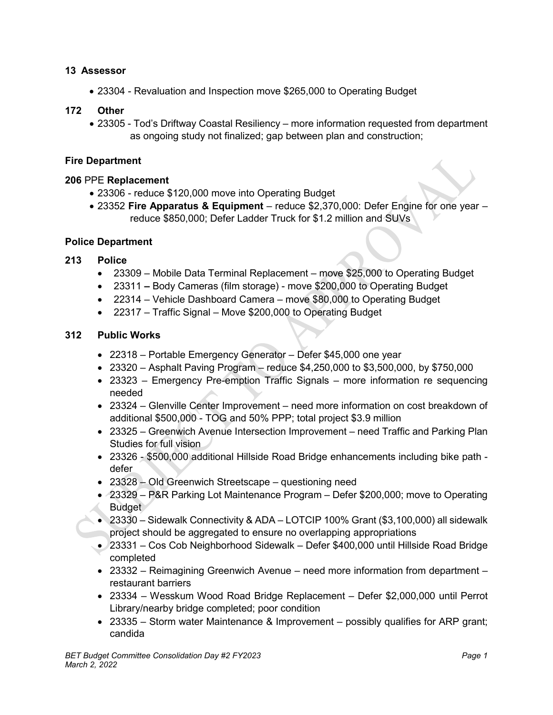# **13 Assessor**

• 23304 - Revaluation and Inspection move \$265,000 to Operating Budget

### **172 Other**

• 23305 - Tod's Driftway Coastal Resiliency – more information requested from department as ongoing study not finalized; gap between plan and construction;

# **Fire Department**

#### **206** PPE **Replacement**

- 23306 reduce \$120,000 move into Operating Budget
- 23352 **Fire Apparatus & Equipment** reduce \$2,370,000: Defer Engine for one year reduce \$850,000; Defer Ladder Truck for \$1.2 million and SUVs

#### **Police Department**

### **213 Police**

- 23309 Mobile Data Terminal Replacement move \$25,000 to Operating Budget
- 23311 **–** Body Cameras (film storage) move \$200,000 to Operating Budget
- 22314 Vehicle Dashboard Camera move \$80,000 to Operating Budget
- 22317 Traffic Signal Move \$200,000 to Operating Budget

#### **312 Public Works**

- 22318 Portable Emergency Generator Defer \$45,000 one year
- $23320 -$  Asphalt Paving Program reduce  $$4,250,000$  to  $$3,500,000$ , by  $$750,000$
- 23323 Emergency Pre-emption Traffic Signals more information re sequencing needed
- 23324 Glenville Center Improvement need more information on cost breakdown of additional \$500,000 - TOG and 50% PPP; total project \$3.9 million
- 23325 Greenwich Avenue Intersection Improvement need Traffic and Parking Plan Studies for full vision
- 23326 \$500,000 additional Hillside Road Bridge enhancements including bike path defer
- 23328 Old Greenwich Streetscape questioning need
- 23329 P&R Parking Lot Maintenance Program Defer \$200,000; move to Operating **Budget**
- 23330 Sidewalk Connectivity & ADA LOTCIP 100% Grant (\$3,100,000) all sidewalk project should be aggregated to ensure no overlapping appropriations
- 23331 Cos Cob Neighborhood Sidewalk Defer \$400,000 until Hillside Road Bridge completed
- 23332 Reimagining Greenwich Avenue need more information from department restaurant barriers
- 23334 Wesskum Wood Road Bridge Replacement Defer \$2,000,000 until Perrot Library/nearby bridge completed; poor condition
- 23335 Storm water Maintenance & Improvement possibly qualifies for ARP grant; candida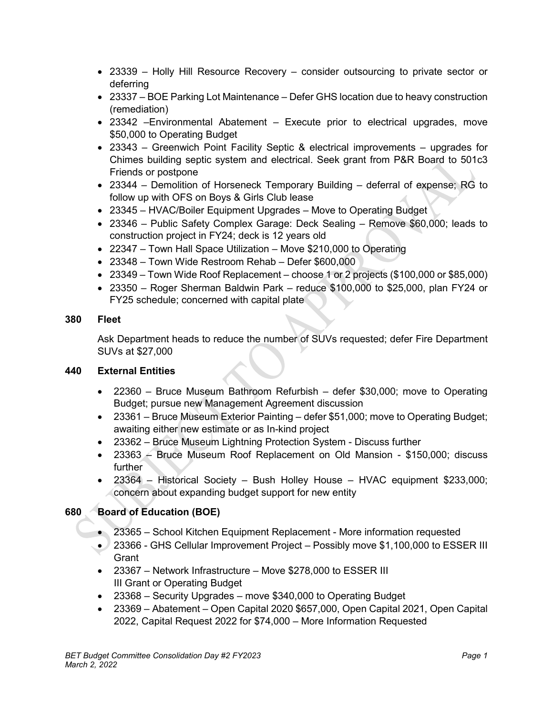- 23339 Holly Hill Resource Recovery consider outsourcing to private sector or deferring
- 23337 BOE Parking Lot Maintenance Defer GHS location due to heavy construction (remediation)
- 23342 –Environmental Abatement Execute prior to electrical upgrades, move \$50,000 to Operating Budget
- 23343 Greenwich Point Facility Septic & electrical improvements upgrades for Chimes building septic system and electrical. Seek grant from P&R Board to 501c3 Friends or postpone
- 23344 Demolition of Horseneck Temporary Building deferral of expense; RG to follow up with OFS on Boys & Girls Club lease
- 23345 HVAC/Boiler Equipment Upgrades Move to Operating Budget
- 23346 Public Safety Complex Garage: Deck Sealing Remove \$60,000; leads to construction project in FY24; deck is 12 years old
- 22347 Town Hall Space Utilization Move \$210,000 to Operating
- 23348 Town Wide Restroom Rehab Defer \$600,000
- 23349 Town Wide Roof Replacement choose 1 or 2 projects (\$100,000 or \$85,000)
- 23350 Roger Sherman Baldwin Park reduce \$100,000 to \$25,000, plan FY24 or FY25 schedule; concerned with capital plate

# **380 Fleet**

Ask Department heads to reduce the number of SUVs requested; defer Fire Department SUVs at \$27,000

# **440 External Entities**

- 22360 Bruce Museum Bathroom Refurbish defer \$30,000; move to Operating Budget; pursue new Management Agreement discussion
- 23361 Bruce Museum Exterior Painting defer \$51,000; move to Operating Budget; awaiting either new estimate or as In-kind project
- 23362 Bruce Museum Lightning Protection System Discuss further
- 23363 Bruce Museum Roof Replacement on Old Mansion \$150,000; discuss further
- 23364 Historical Society Bush Holley House HVAC equipment \$233,000; concern about expanding budget support for new entity

# **680 Board of Education (BOE)**

- 23365 School Kitchen Equipment Replacement More information requested
- 23366 GHS Cellular Improvement Project Possibly move \$1,100,000 to ESSER III **Grant**
- 23367 Network Infrastructure Move \$278,000 to ESSER III III Grant or Operating Budget
- 23368 Security Upgrades move \$340,000 to Operating Budget
- 23369 Abatement Open Capital 2020 \$657,000, Open Capital 2021, Open Capital 2022, Capital Request 2022 for \$74,000 – More Information Requested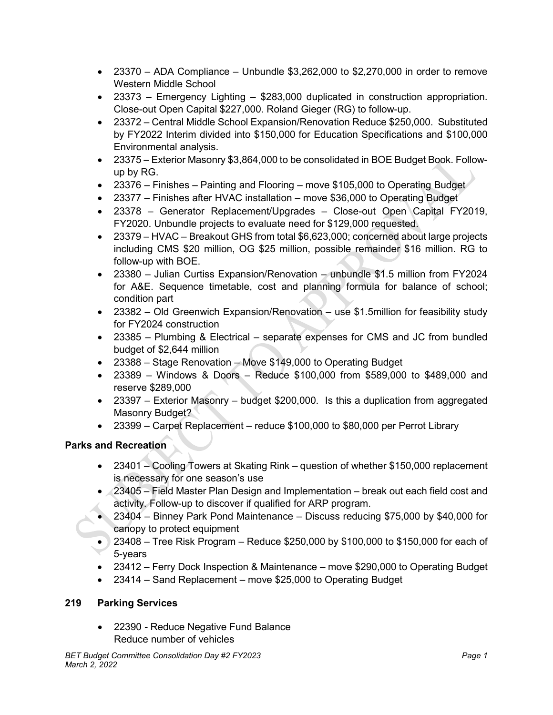- 23370 ADA Compliance Unbundle  $$3,262,000$  to  $$2,270,000$  in order to remove Western Middle School
- 23373 Emergency Lighting \$283,000 duplicated in construction appropriation. Close-out Open Capital \$227,000. Roland Gieger (RG) to follow-up.
- 23372 Central Middle School Expansion/Renovation Reduce \$250,000. Substituted by FY2022 Interim divided into \$150,000 for Education Specifications and \$100,000 Environmental analysis.
- 23375 Exterior Masonry \$3,864,000 to be consolidated in BOE Budget Book. Followup by RG.
- 23376 Finishes Painting and Flooring move \$105,000 to Operating Budget
- 23377 Finishes after HVAC installation move \$36,000 to Operating Budget
- 23378 Generator Replacement/Upgrades Close-out Open Capital FY2019, FY2020. Unbundle projects to evaluate need for \$129,000 requested.
- 23379 HVAC Breakout GHS from total \$6,623,000; concerned about large projects including CMS \$20 million, OG \$25 million, possible remainder \$16 million. RG to follow-up with BOE.
- 23380 Julian Curtiss Expansion/Renovation unbundle \$1.5 million from FY2024 for A&E. Sequence timetable, cost and planning formula for balance of school; condition part
- 23382 Old Greenwich Expansion/Renovation use \$1.5million for feasibility study for FY2024 construction
- 23385 Plumbing & Electrical separate expenses for CMS and JC from bundled budget of \$2,644 million
- 23388 Stage Renovation Move \$149,000 to Operating Budget
- 23389 Windows & Doors Reduce \$100,000 from \$589,000 to \$489,000 and reserve \$289,000
- 23397 Exterior Masonry budget \$200,000. Is this a duplication from aggregated Masonry Budget?
- 23399 Carpet Replacement reduce \$100,000 to \$80,000 per Perrot Library

# **Parks and Recreation**

- 23401 Cooling Towers at Skating Rink question of whether \$150,000 replacement is necessary for one season's use
- 23405 Field Master Plan Design and Implementation break out each field cost and activity. Follow-up to discover if qualified for ARP program.
- 23404 Binney Park Pond Maintenance Discuss reducing \$75,000 by \$40,000 for canopy to protect equipment
- 23408 Tree Risk Program Reduce \$250,000 by \$100,000 to \$150,000 for each of 5-years
- 23412 Ferry Dock Inspection & Maintenance move \$290,000 to Operating Budget
- 23414 Sand Replacement move \$25,000 to Operating Budget

# **219 Parking Services**

• 22390 **-** Reduce Negative Fund Balance Reduce number of vehicles